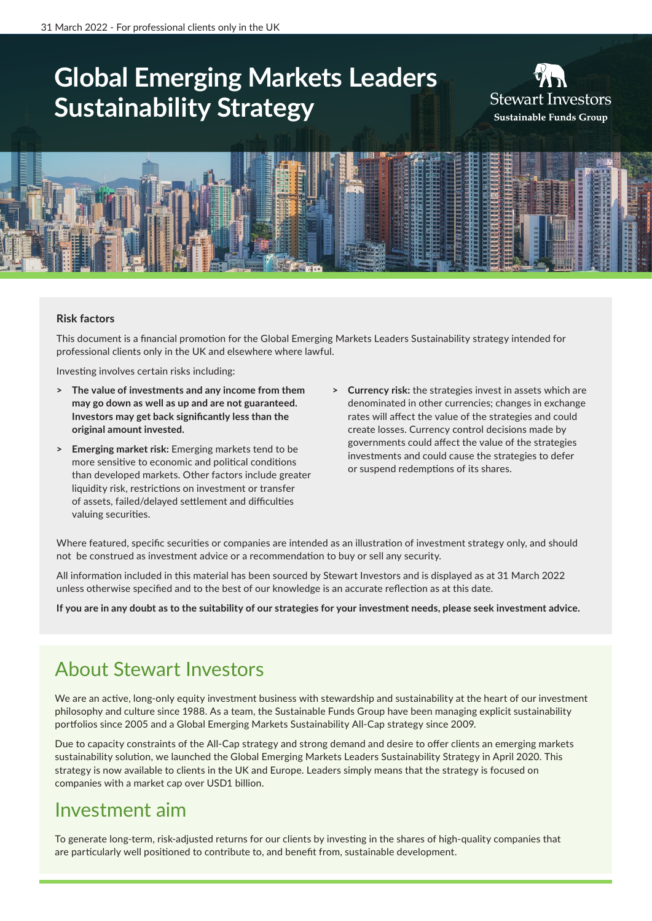# **Global Emerging Markets Leaders Sustainability Strategy**





#### **Risk factors**

This document is a financial promotion for the Global Emerging Markets Leaders Sustainability strategy intended for professional clients only in the UK and elsewhere where lawful.

Investing involves certain risks including:

- **> The value of investments and any income from them may go down as well as up and are not guaranteed. Investors may get back significantly less than the original amount invested.**
- **> Emerging market risk:** Emerging markets tend to be more sensitive to economic and political conditions than developed markets. Other factors include greater liquidity risk, restrictions on investment or transfer of assets, failed/delayed settlement and difficulties valuing securities.
- **> Currency risk:** the strategies invest in assets which are denominated in other currencies; changes in exchange rates will affect the value of the strategies and could create losses. Currency control decisions made by governments could affect the value of the strategies investments and could cause the strategies to defer or suspend redemptions of its shares.

Where featured, specific securities or companies are intended as an illustration of investment strategy only, and should not be construed as investment advice or a recommendation to buy or sell any security.

All information included in this material has been sourced by Stewart Investors and is displayed as at 31 March 2022 unless otherwise specified and to the best of our knowledge is an accurate reflection as at this date.

**If you are in any doubt as to the suitability of our strategies for your investment needs, please seek investment advice.**

# About Stewart Investors

We are an active, long-only equity investment business with stewardship and sustainability at the heart of our investment philosophy and culture since 1988. As a team, the Sustainable Funds Group have been managing explicit sustainability portfolios since 2005 and a Global Emerging Markets Sustainability All-Cap strategy since 2009.

Due to capacity constraints of the All-Cap strategy and strong demand and desire to offer clients an emerging markets sustainability solution, we launched the Global Emerging Markets Leaders Sustainability Strategy in April 2020. This strategy is now available to clients in the UK and Europe. Leaders simply means that the strategy is focused on companies with a market cap over USD1 billion.

### Investment aim

To generate long-term, risk-adjusted returns for our clients by investing in the shares of high-quality companies that are particularly well positioned to contribute to, and benefit from, sustainable development.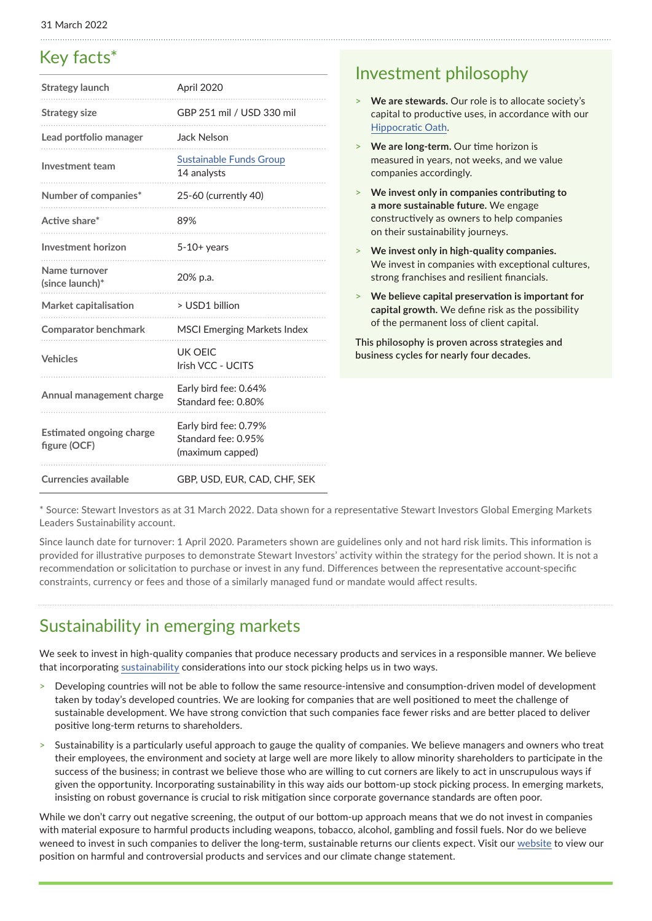# Key facts\*

| <b>Strategy launch</b>                          | April 2020                                                       |
|-------------------------------------------------|------------------------------------------------------------------|
| <b>Strategy size</b>                            | GBP 251 mil / USD 330 mil                                        |
| Lead portfolio manager                          | Jack Nelson                                                      |
| <b>Investment team</b>                          | Sustainable Funds Group<br>14 analysts                           |
| Number of companies*                            | 25-60 (currently 40)                                             |
| Active share*                                   | 89%                                                              |
| Investment horizon                              | $5-10+$ years                                                    |
| Name turnover<br>(since launch)*                | 20% p.a.                                                         |
| <b>Market capitalisation</b>                    | > USD1 billion                                                   |
| <b>Comparator benchmark</b>                     | <b>MSCI Emerging Markets Index</b>                               |
| <b>Vehicles</b>                                 | UK OFIC<br>Irish VCC - UCITS                                     |
| Annual management charge                        | Early bird fee: 0.64%<br>Standard fee: 0.80%                     |
| <b>Estimated ongoing charge</b><br>figure (OCF) | Early bird fee: 0.79%<br>Standard fee: 0.95%<br>(maximum capped) |
| Currencies available                            | GBP, USD, EUR, CAD, CHF, SEK                                     |

### Investment philosophy

- > **We are stewards.** Our role is to allocate society's capital to productive uses, in accordance with our [Hippocratic Oath](https://www.stewartinvestors.com/all/sustainable-funds-group/how-we-invest/hippocratic-oath.html).
- > **We are long-term.** Our time horizon is measured in years, not weeks, and we value companies accordingly.
- > **We invest only in companies contributing to a more sustainable future.** We engage constructively as owners to help companies on their sustainability journeys.
- > **We invest only in high-quality companies.** We invest in companies with exceptional cultures, strong franchises and resilient financials.
- > **We believe capital preservation is important for capital growth.** We define risk as the possibility of the permanent loss of client capital.

**This philosophy is proven across strategies and business cycles for nearly four decades.**

\* Source: Stewart Investors as at 31 March 2022. Data shown for a representative Stewart Investors Global Emerging Markets Leaders Sustainability account.

Since launch date for turnover: 1 April 2020. Parameters shown are guidelines only and not hard risk limits. This information is provided for illustrative purposes to demonstrate Stewart Investors' activity within the strategy for the period shown. It is not a recommendation or solicitation to purchase or invest in any fund. Differences between the representative account-specific constraints, currency or fees and those of a similarly managed fund or mandate would affect results.

### Sustainability in emerging markets

We seek to invest in high-quality companies that produce necessary products and services in a responsible manner. We believe that incorporating [sustainability](https://www.stewartinvestors.com/all/sustainable-funds-group/how-we-invest/our-approach.html) considerations into our stock picking helps us in two ways.

- Developing countries will not be able to follow the same resource-intensive and consumption-driven model of development taken by today's developed countries. We are looking for companies that are well positioned to meet the challenge of sustainable development. We have strong conviction that such companies face fewer risks and are better placed to deliver positive long-term returns to shareholders.
- Sustainability is a particularly useful approach to gauge the quality of companies. We believe managers and owners who treat their employees, the environment and society at large well are more likely to allow minority shareholders to participate in the success of the business; in contrast we believe those who are willing to cut corners are likely to act in unscrupulous ways if given the opportunity. Incorporating sustainability in this way aids our bottom-up stock picking process. In emerging markets, insisting on robust governance is crucial to risk mitigation since corporate governance standards are often poor.

While we don't carry out negative screening, the output of our bottom-up approach means that we do not invest in companies with material exposure to harmful products including weapons, tobacco, alcohol, gambling and fossil fuels. Nor do we believe weneed to invest in such companies to deliver the long-term, sustainable returns our clients expect. Visit our [website](https://www.stewartinvestors.com/all/sustainable-funds-group/our-policies.html) to view our position on harmful and controversial products and services and our climate change statement.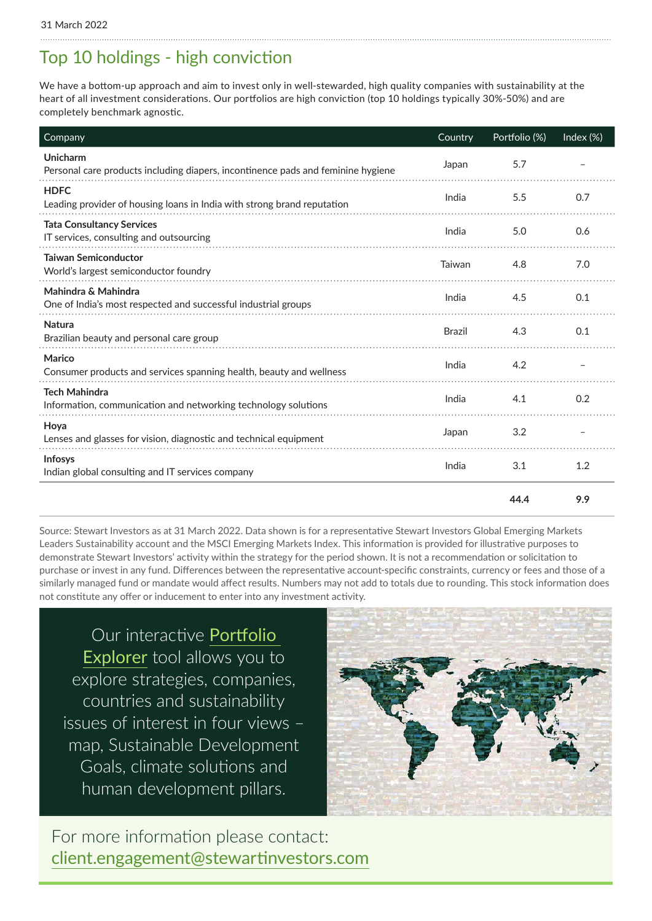# Top 10 holdings - high conviction

We have a bottom-up approach and aim to invest only in well-stewarded, high quality companies with sustainability at the heart of all investment considerations. Our portfolios are high conviction (top 10 holdings typically 30%-50%) and are completely benchmark agnostic.

| Company                                                                                      | Country       | Portfolio (%) | Index (%) |
|----------------------------------------------------------------------------------------------|---------------|---------------|-----------|
| Unicharm<br>Personal care products including diapers, incontinence pads and feminine hygiene | Japan         | 5.7           |           |
| <b>HDFC</b><br>Leading provider of housing loans in India with strong brand reputation       | India         | 5.5           | 0.7       |
| <b>Tata Consultancy Services</b><br>IT services, consulting and outsourcing                  | India         | 5.0           | 0.6       |
| <b>Taiwan Semiconductor</b><br>World's largest semiconductor foundry                         | Taiwan        | 4.8           | 7.0       |
| Mahindra & Mahindra<br>One of India's most respected and successful industrial groups        | India         | 4.5           | 0.1       |
| <b>Natura</b><br>Brazilian beauty and personal care group                                    | <b>Brazil</b> | 4.3           | 0.1       |
| <b>Marico</b><br>Consumer products and services spanning health, beauty and wellness         | India         | 4.2           |           |
| <b>Tech Mahindra</b><br>Information, communication and networking technology solutions       | India         | 4.1           | 0.2       |
| Hova<br>Lenses and glasses for vision, diagnostic and technical equipment                    | Japan         | 3.2           |           |
| Infosys<br>Indian global consulting and IT services company                                  | India         | 3.1           | 1.2       |
|                                                                                              |               | 44.4          | 9.9       |

Source: Stewart Investors as at 31 March 2022. Data shown is for a representative Stewart Investors Global Emerging Markets Leaders Sustainability account and the MSCI Emerging Markets Index. This information is provided for illustrative purposes to demonstrate Stewart Investors' activity within the strategy for the period shown. It is not a recommendation or solicitation to purchase or invest in any fund. Differences between the representative account-specific constraints, currency or fees and those of a similarly managed fund or mandate would affect results. Numbers may not add to totals due to rounding. This stock information does not constitute any offer or inducement to enter into any investment activity.

Our interactive [Portfolio](https://www.stewartinvestors.com/all/sustainable-funds-group/introducing-portfolio-explorer/portfolio-explorer.html)  [Explorer](https://www.stewartinvestors.com/all/sustainable-funds-group/introducing-portfolio-explorer/portfolio-explorer.html) tool allows you to explore strategies, companies, countries and sustainability issues of interest in four views – map, Sustainable Development Goals, climate solutions and human development pillars.



For more information please contact: [client.engagement@stewartinvestors.com](mailto:client.engagement%40stewartinvestors.com?subject=)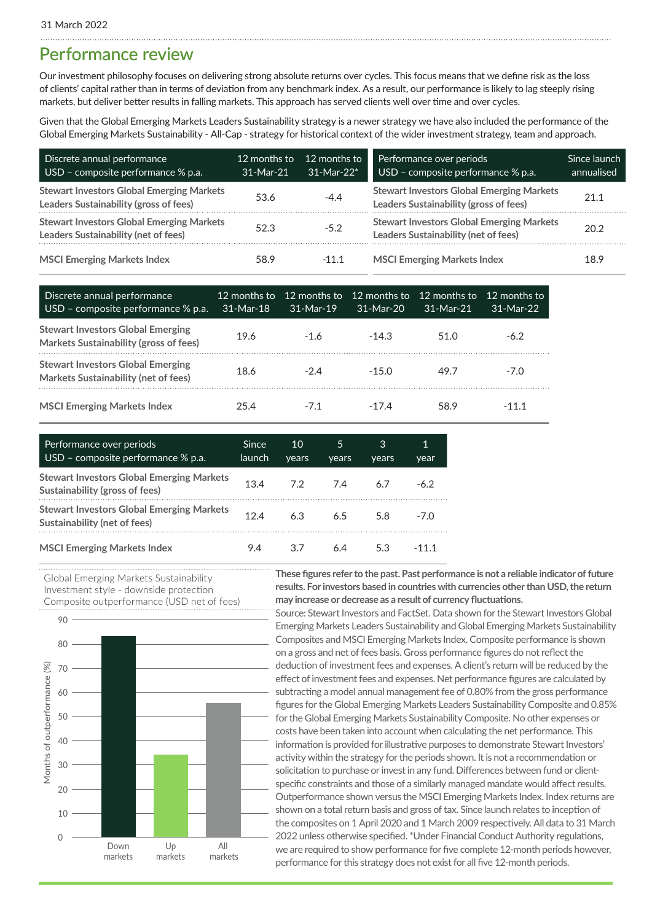#### Performance review

Our investment philosophy focuses on delivering strong absolute returns over cycles. This focus means that we define risk as the loss of clients' capital rather than in terms of deviation from any benchmark index. As a result, our performance is likely to lag steeply rising markets, but deliver better results in falling markets. This approach has served clients well over time and over cycles.

Given that the Global Emerging Markets Leaders Sustainability strategy is a newer strategy we have also included the performance of the Global Emerging Markets Sustainability - All-Cap - strategy for historical context of the wider investment strategy, team and approach.

| Discrete annual performance<br>USD - composite performance % p.a.                          | 12 months to<br>$31-Mar-21$ | 12 months to<br>$31 - \text{Mar-}22^*$ | Performance over periods<br>USD - composite performance % p.a.                             | Since launch<br>annualised |
|--------------------------------------------------------------------------------------------|-----------------------------|----------------------------------------|--------------------------------------------------------------------------------------------|----------------------------|
| <b>Stewart Investors Global Emerging Markets</b><br>Leaders Sustainability (gross of fees) | 53.6                        | $-4.4$                                 | <b>Stewart Investors Global Emerging Markets</b><br>Leaders Sustainability (gross of fees) | 211                        |
| <b>Stewart Investors Global Emerging Markets</b><br>Leaders Sustainability (net of fees)   | 52.3                        | $-5.2$                                 | <b>Stewart Investors Global Emerging Markets</b><br>Leaders Sustainability (net of fees)   | 20.2                       |
| <b>MSCI Emerging Markets Index</b>                                                         | 58.9                        | $-111$                                 | <b>MSCI Emerging Markets Index</b>                                                         | 18.9                       |

| Discrete annual performance<br>$\sqrt{USD}$ – composite performance % p.a.         | 12 months to<br>$31-Mar-18$ | $31-Mar-19$ | 12 months to 12 months to 12 months to<br>$31-Mar-20$ | 31-Mar-21 | 12 months to<br>$31-Mar-22$ |
|------------------------------------------------------------------------------------|-----------------------------|-------------|-------------------------------------------------------|-----------|-----------------------------|
| <b>Stewart Investors Global Emerging</b><br>Markets Sustainability (gross of fees) | 19.6                        | $-16$       | $-14.3$                                               | 51.0      | $-6.2$                      |
| <b>Stewart Investors Global Emerging</b><br>Markets Sustainability (net of fees)   | 18.6                        | $-24$       | $-15.0$                                               | 497       | $-7.0$                      |
| <b>MSCI Emerging Markets Index</b>                                                 | 254                         | $-71$       | -174                                                  | 58.9      | $-111$                      |

| Performance over periods<br>USD – composite performance $%$ p.a.                   | Since<br>launch | 10<br>years | 5<br>years | 3<br>years | 11<br>year |
|------------------------------------------------------------------------------------|-----------------|-------------|------------|------------|------------|
| <b>Stewart Investors Global Emerging Markets</b><br>Sustainability (gross of fees) | 134             | 7.2         | 74         | 67         | -62        |
| <b>Stewart Investors Global Emerging Markets</b><br>Sustainability (net of fees)   | 124             | 6.3         | 65         | 5 R        | -70        |
| <b>MSCI Emerging Markets Index</b>                                                 | 94              | 37          |            | 53         |            |

Global Emerging Markets Sustainability Investment style - downside protection Composite outperformance (USD net of fees)



**These figures refer to the past. Past performance is not a reliable indicator of future results. For investors based in countries with currencies other than USD, the return may increase or decrease as a result of currency fluctuations.**

Source: Stewart Investors and FactSet. Data shown for the Stewart Investors Global Emerging Markets Leaders Sustainability and Global Emerging Markets Sustainability Composites and MSCI Emerging Markets Index. Composite performance is shown on a gross and net of fees basis. Gross performance figures do not reflect the deduction of investment fees and expenses. A client's return will be reduced by the effect of investment fees and expenses. Net performance figures are calculated by subtracting a model annual management fee of 0.80% from the gross performance figures for the Global Emerging Markets Leaders Sustainability Composite and 0.85% for the Global Emerging Markets Sustainability Composite. No other expenses or costs have been taken into account when calculating the net performance. This information is provided for illustrative purposes to demonstrate Stewart Investors' activity within the strategy for the periods shown. It is not a recommendation or solicitation to purchase or invest in any fund. Differences between fund or clientspecific constraints and those of a similarly managed mandate would affect results. Outperformance shown versus the MSCI Emerging Markets Index. Index returns are shown on a total return basis and gross of tax. Since launch relates to inception of the composites on 1 April 2020 and 1 March 2009 respectively. All data to 31 March 2022 unless otherwise specified. \*Under Financial Conduct Authority regulations, we are required to show performance for five complete 12-month periods however, performance for this strategy does not exist for all five 12-month periods.